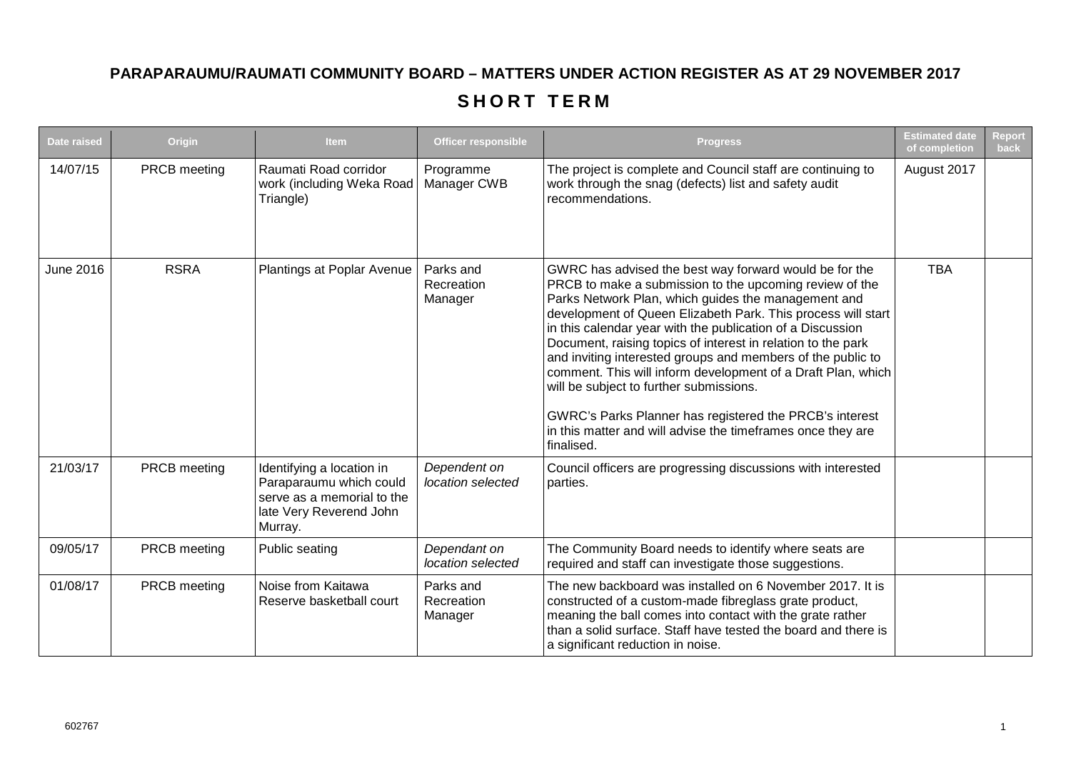## **PARAPARAUMU/RAUMATI COMMUNITY BOARD – MATTERS UNDER ACTION REGISTER AS AT 29 NOVEMBER 2017**

## **SHORT TERM**

| <b>Date raised</b> | Origin       | <b>Item</b>                                                                                                              | <b>Officer responsible</b>         | <b>Progress</b>                                                                                                                                                                                                                                                                                                                                                                                                                                                                                                                                                                                                                                                                          | <b>Estimated date</b><br>of completion | <b>Report</b><br>back |
|--------------------|--------------|--------------------------------------------------------------------------------------------------------------------------|------------------------------------|------------------------------------------------------------------------------------------------------------------------------------------------------------------------------------------------------------------------------------------------------------------------------------------------------------------------------------------------------------------------------------------------------------------------------------------------------------------------------------------------------------------------------------------------------------------------------------------------------------------------------------------------------------------------------------------|----------------------------------------|-----------------------|
| 14/07/15           | PRCB meeting | Raumati Road corridor<br>work (including Weka Road<br>Triangle)                                                          | Programme<br>Manager CWB           | The project is complete and Council staff are continuing to<br>work through the snag (defects) list and safety audit<br>recommendations.                                                                                                                                                                                                                                                                                                                                                                                                                                                                                                                                                 | August 2017                            |                       |
| <b>June 2016</b>   | <b>RSRA</b>  | Plantings at Poplar Avenue                                                                                               | Parks and<br>Recreation<br>Manager | GWRC has advised the best way forward would be for the<br>PRCB to make a submission to the upcoming review of the<br>Parks Network Plan, which guides the management and<br>development of Queen Elizabeth Park. This process will start<br>in this calendar year with the publication of a Discussion<br>Document, raising topics of interest in relation to the park<br>and inviting interested groups and members of the public to<br>comment. This will inform development of a Draft Plan, which<br>will be subject to further submissions.<br>GWRC's Parks Planner has registered the PRCB's interest<br>in this matter and will advise the timeframes once they are<br>finalised. | <b>TBA</b>                             |                       |
| 21/03/17           | PRCB meeting | Identifying a location in<br>Paraparaumu which could<br>serve as a memorial to the<br>late Very Reverend John<br>Murray. | Dependent on<br>location selected  | Council officers are progressing discussions with interested<br>parties.                                                                                                                                                                                                                                                                                                                                                                                                                                                                                                                                                                                                                 |                                        |                       |
| 09/05/17           | PRCB meeting | Public seating                                                                                                           | Dependant on<br>location selected  | The Community Board needs to identify where seats are<br>required and staff can investigate those suggestions.                                                                                                                                                                                                                                                                                                                                                                                                                                                                                                                                                                           |                                        |                       |
| 01/08/17           | PRCB meeting | Noise from Kaitawa<br>Reserve basketball court                                                                           | Parks and<br>Recreation<br>Manager | The new backboard was installed on 6 November 2017. It is<br>constructed of a custom-made fibreglass grate product,<br>meaning the ball comes into contact with the grate rather<br>than a solid surface. Staff have tested the board and there is<br>a significant reduction in noise.                                                                                                                                                                                                                                                                                                                                                                                                  |                                        |                       |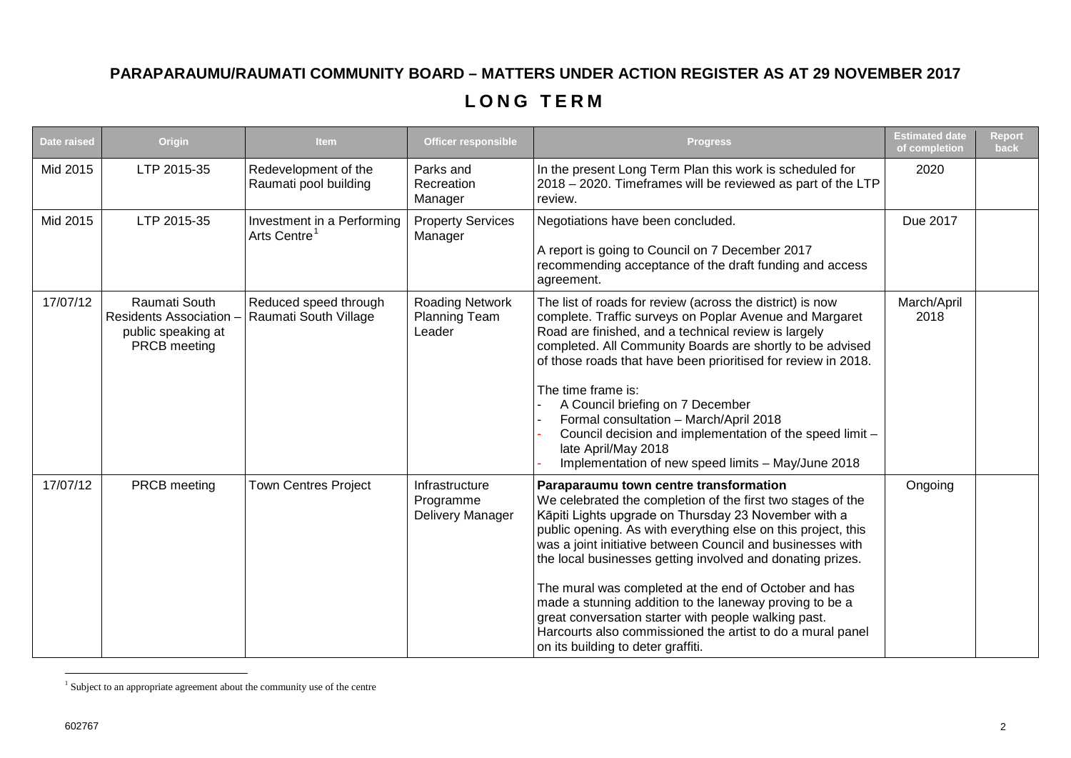## **PARAPARAUMU/RAUMATI COMMUNITY BOARD – MATTERS UNDER ACTION REGISTER AS AT 29 NOVEMBER 2017**

## <span id="page-1-0"></span>**LONG TERM**

| Date raised | Origin                                                                              | <b>Item</b>                                            | <b>Officer responsible</b>                        | <b>Progress</b>                                                                                                                                                                                                                                                                                                                                                                                                                                                                                                                                                                                                                            | <b>Estimated date</b><br>of completion | <b>Report</b><br>back |
|-------------|-------------------------------------------------------------------------------------|--------------------------------------------------------|---------------------------------------------------|--------------------------------------------------------------------------------------------------------------------------------------------------------------------------------------------------------------------------------------------------------------------------------------------------------------------------------------------------------------------------------------------------------------------------------------------------------------------------------------------------------------------------------------------------------------------------------------------------------------------------------------------|----------------------------------------|-----------------------|
| Mid 2015    | LTP 2015-35                                                                         | Redevelopment of the<br>Raumati pool building          | Parks and<br>Recreation<br>Manager                | In the present Long Term Plan this work is scheduled for<br>2018 - 2020. Timeframes will be reviewed as part of the LTP<br>review.                                                                                                                                                                                                                                                                                                                                                                                                                                                                                                         | 2020                                   |                       |
| Mid 2015    | LTP 2015-35                                                                         | Investment in a Performing<br>Arts Centre <sup>1</sup> | <b>Property Services</b><br>Manager               | Negotiations have been concluded.<br>A report is going to Council on 7 December 2017<br>recommending acceptance of the draft funding and access<br>agreement.                                                                                                                                                                                                                                                                                                                                                                                                                                                                              | Due 2017                               |                       |
| 17/07/12    | Raumati South<br><b>Residents Association</b><br>public speaking at<br>PRCB meeting | Reduced speed through<br>Raumati South Village         | <b>Roading Network</b><br>Planning Team<br>Leader | The list of roads for review (across the district) is now<br>complete. Traffic surveys on Poplar Avenue and Margaret<br>Road are finished, and a technical review is largely<br>completed. All Community Boards are shortly to be advised<br>of those roads that have been prioritised for review in 2018.<br>The time frame is:<br>A Council briefing on 7 December<br>Formal consultation - March/April 2018<br>Council decision and implementation of the speed limit -<br>late April/May 2018<br>Implementation of new speed limits - May/June 2018                                                                                    | March/April<br>2018                    |                       |
| 17/07/12    | PRCB meeting                                                                        | <b>Town Centres Project</b>                            | Infrastructure<br>Programme<br>Delivery Manager   | Paraparaumu town centre transformation<br>We celebrated the completion of the first two stages of the<br>Kāpiti Lights upgrade on Thursday 23 November with a<br>public opening. As with everything else on this project, this<br>was a joint initiative between Council and businesses with<br>the local businesses getting involved and donating prizes.<br>The mural was completed at the end of October and has<br>made a stunning addition to the laneway proving to be a<br>great conversation starter with people walking past.<br>Harcourts also commissioned the artist to do a mural panel<br>on its building to deter graffiti. | Ongoing                                |                       |

 $1$  Subject to an appropriate agreement about the community use of the centre <u>.</u>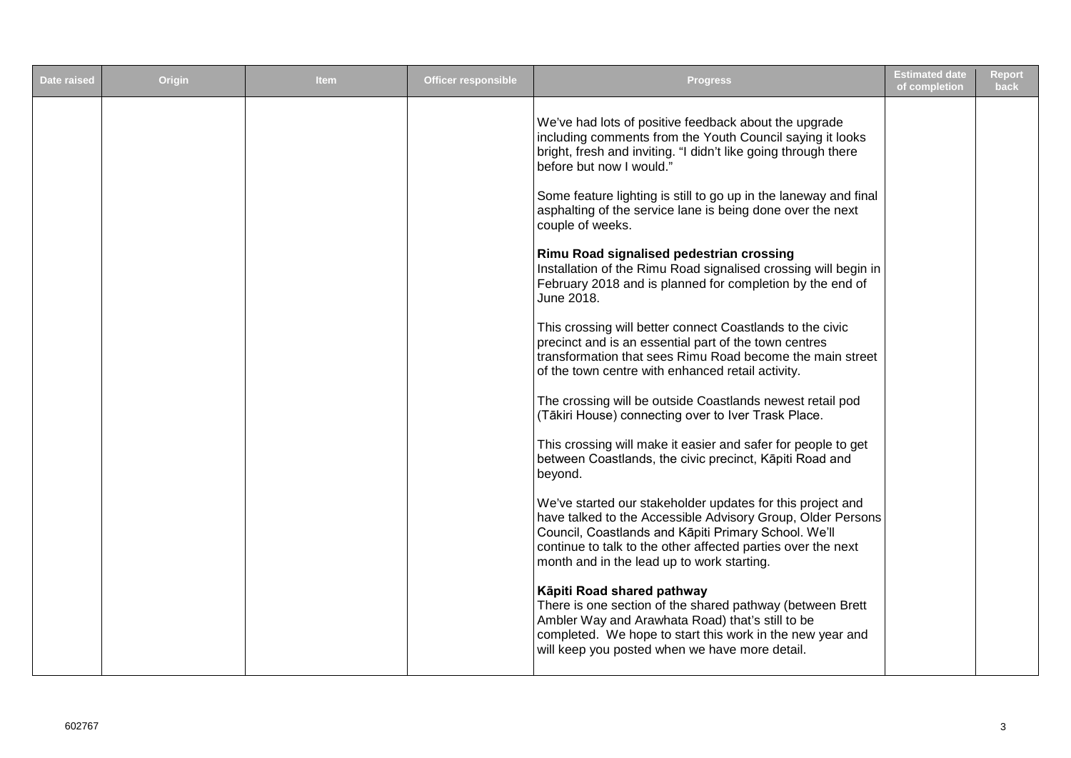| <b>Date raised</b> | <b>Origin</b> | <b>Item</b> | <b>Officer responsible</b> | <b>Progress</b>                                                                                                                                                                                                                                                                                 | <b>Estimated date</b><br>of completion | <b>Report</b><br>back |
|--------------------|---------------|-------------|----------------------------|-------------------------------------------------------------------------------------------------------------------------------------------------------------------------------------------------------------------------------------------------------------------------------------------------|----------------------------------------|-----------------------|
|                    |               |             |                            | We've had lots of positive feedback about the upgrade<br>including comments from the Youth Council saying it looks<br>bright, fresh and inviting. "I didn't like going through there<br>before but now I would."<br>Some feature lighting is still to go up in the laneway and final            |                                        |                       |
|                    |               |             |                            | asphalting of the service lane is being done over the next<br>couple of weeks.                                                                                                                                                                                                                  |                                        |                       |
|                    |               |             |                            | Rimu Road signalised pedestrian crossing<br>Installation of the Rimu Road signalised crossing will begin in<br>February 2018 and is planned for completion by the end of<br>June 2018.                                                                                                          |                                        |                       |
|                    |               |             |                            | This crossing will better connect Coastlands to the civic<br>precinct and is an essential part of the town centres<br>transformation that sees Rimu Road become the main street<br>of the town centre with enhanced retail activity.                                                            |                                        |                       |
|                    |               |             |                            | The crossing will be outside Coastlands newest retail pod<br>(Tākiri House) connecting over to Iver Trask Place.                                                                                                                                                                                |                                        |                       |
|                    |               |             |                            | This crossing will make it easier and safer for people to get<br>between Coastlands, the civic precinct, Kāpiti Road and<br>beyond.                                                                                                                                                             |                                        |                       |
|                    |               |             |                            | We've started our stakeholder updates for this project and<br>have talked to the Accessible Advisory Group, Older Persons<br>Council, Coastlands and Kāpiti Primary School. We'll<br>continue to talk to the other affected parties over the next<br>month and in the lead up to work starting. |                                        |                       |
|                    |               |             |                            | Kāpiti Road shared pathway<br>There is one section of the shared pathway (between Brett<br>Ambler Way and Arawhata Road) that's still to be<br>completed. We hope to start this work in the new year and<br>will keep you posted when we have more detail.                                      |                                        |                       |